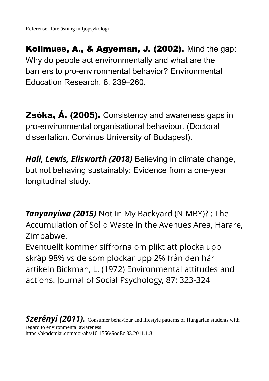Kollmuss, A., & Agyeman, J. (2002). Mind the gap: Why do people act environmentally and what are the barriers to pro-environmental behavior? Environmental Education Research, 8, 239–260.

Zsóka, Á. (2005). Consistency and awareness gaps in pro-environmental organisational behaviour. (Doctoral dissertation. Corvinus University of Budapest).

*Hall, Lewis, Ellsworth (2018)* Believing in climate change, but not behaving sustainably: Evidence from a one-year longitudinal study.

*Tanyanyiwa (2015)* Not In My Backyard (NIMBY)? : The Accumulation of Solid Waste in the Avenues Area, Harare, Zimbabwe.

Eventuellt kommer siffrorna om plikt att plocka upp skräp 98% vs de som plockar upp 2% från den här artikeln Bickman, L. (1972) Environmental attitudes and actions. Journal of Social Psychology, 87: 323-324

*Szerényi (2011).* Consumer behaviour and lifestyle patterns of Hungarian students with regard to environmental awareness https://akademiai.com/doi/abs/10.1556/SocEc.33.2011.1.8